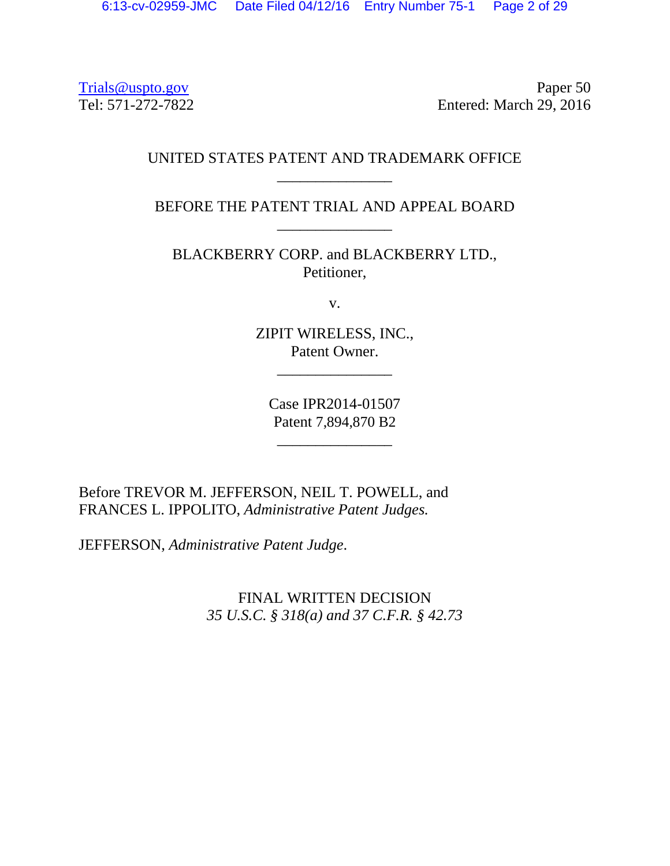Trials @uspto.gov Paper 50<br>Tel: 571-272-7822 Paper 50 Entered: March 29, 2016

## UNITED STATES PATENT AND TRADEMARK OFFICE \_\_\_\_\_\_\_\_\_\_\_\_\_\_\_

BEFORE THE PATENT TRIAL AND APPEAL BOARD \_\_\_\_\_\_\_\_\_\_\_\_\_\_\_

BLACKBERRY CORP. and BLACKBERRY LTD., Petitioner,

v.

ZIPIT WIRELESS, INC., Patent Owner.

\_\_\_\_\_\_\_\_\_\_\_\_\_\_\_

Case IPR2014-01507 Patent 7,894,870 B2

\_\_\_\_\_\_\_\_\_\_\_\_\_\_\_

Before TREVOR M. JEFFERSON, NEIL T. POWELL, and FRANCES L. IPPOLITO, *Administrative Patent Judges.* 

JEFFERSON, *Administrative Patent Judge*.

FINAL WRITTEN DECISION *35 U.S.C. § 318(a) and 37 C.F.R. § 42.73*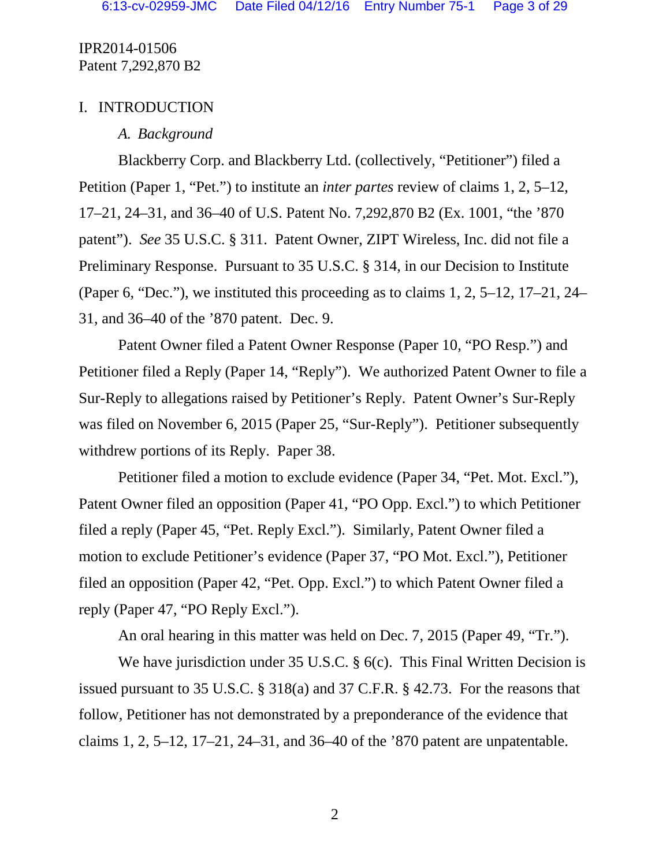## I. INTRODUCTION

## *A. Background*

Blackberry Corp. and Blackberry Ltd. (collectively, "Petitioner") filed a Petition (Paper 1, "Pet.") to institute an *inter partes* review of claims 1, 2, 5–12, 17–21, 24–31, and 36–40 of U.S. Patent No. 7,292,870 B2 (Ex. 1001, "the '870 patent"). *See* 35 U.S.C. § 311. Patent Owner, ZIPT Wireless, Inc. did not file a Preliminary Response. Pursuant to 35 U.S.C. § 314, in our Decision to Institute (Paper 6, "Dec."), we instituted this proceeding as to claims 1, 2, 5–12, 17–21, 24– 31, and 36–40 of the '870 patent. Dec. 9.

Patent Owner filed a Patent Owner Response (Paper 10, "PO Resp.") and Petitioner filed a Reply (Paper 14, "Reply"). We authorized Patent Owner to file a Sur-Reply to allegations raised by Petitioner's Reply. Patent Owner's Sur-Reply was filed on November 6, 2015 (Paper 25, "Sur-Reply"). Petitioner subsequently withdrew portions of its Reply. Paper 38.

Petitioner filed a motion to exclude evidence (Paper 34, "Pet. Mot. Excl."), Patent Owner filed an opposition (Paper 41, "PO Opp. Excl.") to which Petitioner filed a reply (Paper 45, "Pet. Reply Excl."). Similarly, Patent Owner filed a motion to exclude Petitioner's evidence (Paper 37, "PO Mot. Excl."), Petitioner filed an opposition (Paper 42, "Pet. Opp. Excl.") to which Patent Owner filed a reply (Paper 47, "PO Reply Excl.").

An oral hearing in this matter was held on Dec. 7, 2015 (Paper 49, "Tr.").

We have jurisdiction under 35 U.S.C. § 6(c). This Final Written Decision is issued pursuant to 35 U.S.C. § 318(a) and 37 C.F.R. § 42.73. For the reasons that follow, Petitioner has not demonstrated by a preponderance of the evidence that claims 1, 2, 5–12, 17–21, 24–31, and 36–40 of the '870 patent are unpatentable.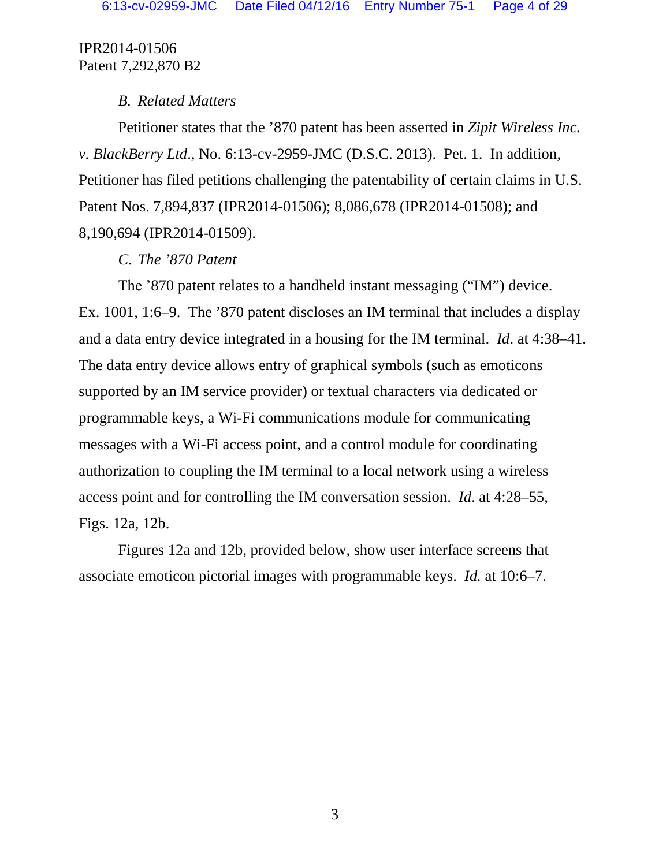## *B. Related Matters*

Petitioner states that the '870 patent has been asserted in *Zipit Wireless Inc. v. BlackBerry Ltd*., No. 6:13-cv-2959-JMC (D.S.C. 2013). Pet. 1. In addition, Petitioner has filed petitions challenging the patentability of certain claims in U.S. Patent Nos. 7,894,837 (IPR2014-01506); 8,086,678 (IPR2014-01508); and 8,190,694 (IPR2014-01509).

### *C. The '870 Patent*

The '870 patent relates to a handheld instant messaging ("IM") device. Ex. 1001, 1:6–9. The '870 patent discloses an IM terminal that includes a display and a data entry device integrated in a housing for the IM terminal. *Id*. at 4:38–41. The data entry device allows entry of graphical symbols (such as emoticons supported by an IM service provider) or textual characters via dedicated or programmable keys, a Wi-Fi communications module for communicating messages with a Wi-Fi access point, and a control module for coordinating authorization to coupling the IM terminal to a local network using a wireless access point and for controlling the IM conversation session. *Id*. at 4:28–55, Figs. 12a, 12b.

Figures 12a and 12b, provided below, show user interface screens that associate emoticon pictorial images with programmable keys. *Id.* at 10:6–7.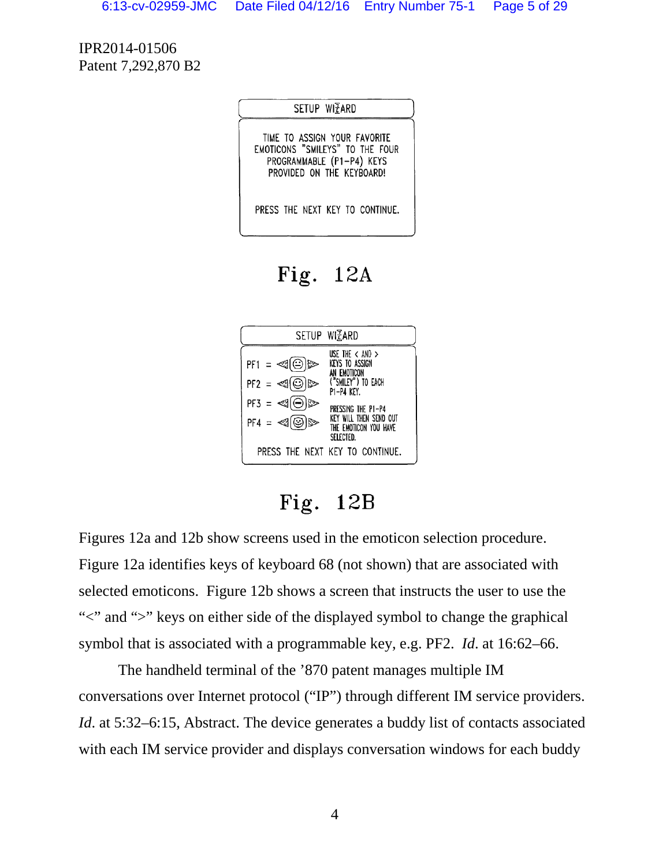|                                                                                                                           | SETUP WIZARD |  |  |
|---------------------------------------------------------------------------------------------------------------------------|--------------|--|--|
| TIME TO ASSIGN YOUR FAVORITE<br>EMOTICONS "SMILEYS" TO THE FOUR<br>PROGRAMMABLE (P1-P4) KEYS<br>PROVIDED ON THE KEYBOARD! |              |  |  |
| PRESS THE NEXT KEY TO CONTINUE.                                                                                           |              |  |  |

Fig.  $12A$ 



Fig. 12B

Figures 12a and 12b show screens used in the emoticon selection procedure. Figure 12a identifies keys of keyboard 68 (not shown) that are associated with selected emoticons. Figure 12b shows a screen that instructs the user to use the "">" and ">" keys on either side of the displayed symbol to change the graphical symbol that is associated with a programmable key, e.g. PF2. *Id*. at 16:62–66.

The handheld terminal of the '870 patent manages multiple IM conversations over Internet protocol ("IP") through different IM service providers. *Id.* at 5:32–6:15, Abstract. The device generates a buddy list of contacts associated with each IM service provider and displays conversation windows for each buddy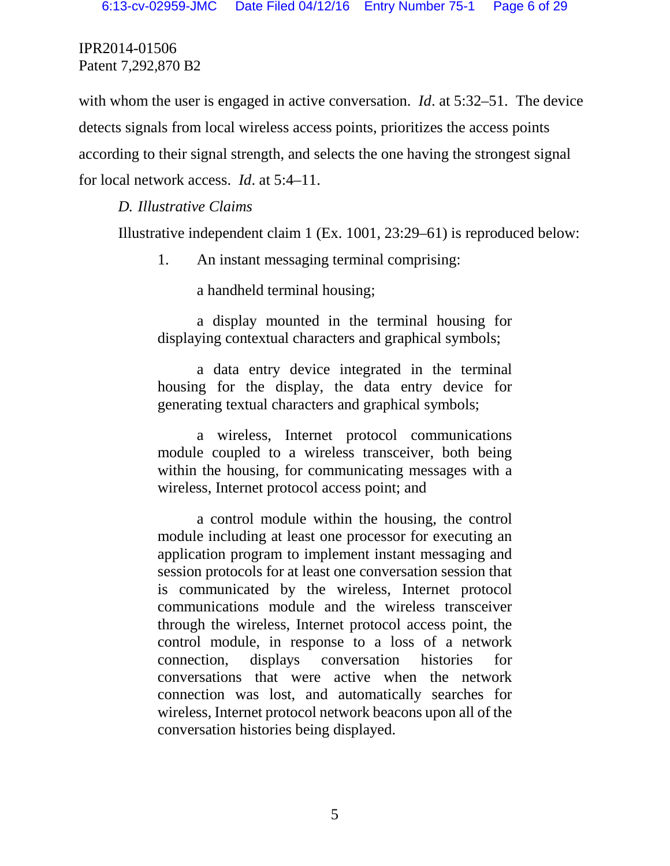with whom the user is engaged in active conversation. *Id.* at 5:32–51. The device detects signals from local wireless access points, prioritizes the access points according to their signal strength, and selects the one having the strongest signal for local network access. *Id*. at 5:4–11.

## *D. Illustrative Claims*

Illustrative independent claim 1 (Ex. 1001, 23:29–61) is reproduced below:

1. An instant messaging terminal comprising:

a handheld terminal housing;

a display mounted in the terminal housing for displaying contextual characters and graphical symbols;

a data entry device integrated in the terminal housing for the display, the data entry device for generating textual characters and graphical symbols;

a wireless, Internet protocol communications module coupled to a wireless transceiver, both being within the housing, for communicating messages with a wireless, Internet protocol access point; and

a control module within the housing, the control module including at least one processor for executing an application program to implement instant messaging and session protocols for at least one conversation session that is communicated by the wireless, Internet protocol communications module and the wireless transceiver through the wireless, Internet protocol access point, the control module, in response to a loss of a network connection, displays conversation histories for conversations that were active when the network connection was lost, and automatically searches for wireless, Internet protocol network beacons upon all of the conversation histories being displayed.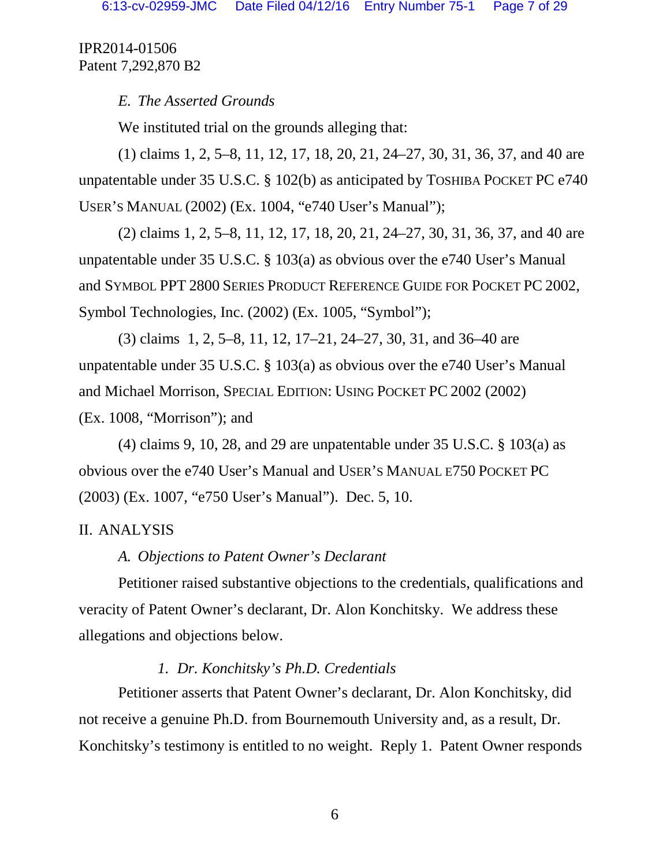## *E. The Asserted Grounds*

We instituted trial on the grounds alleging that:

(1) claims 1, 2, 5–8, 11, 12, 17, 18, 20, 21, 24–27, 30, 31, 36, 37, and 40 are unpatentable under 35 U.S.C. § 102(b) as anticipated by TOSHIBA POCKET PC e740 USER'S MANUAL (2002) (Ex. 1004, "e740 User's Manual");

(2) claims 1, 2, 5–8, 11, 12, 17, 18, 20, 21, 24–27, 30, 31, 36, 37, and 40 are unpatentable under 35 U.S.C. § 103(a) as obvious over the e740 User's Manual and SYMBOL PPT 2800 SERIES PRODUCT REFERENCE GUIDE FOR POCKET PC 2002, Symbol Technologies, Inc. (2002) (Ex. 1005, "Symbol");

(3) claims 1, 2, 5–8, 11, 12, 17–21, 24–27, 30, 31, and 36–40 are unpatentable under 35 U.S.C. § 103(a) as obvious over the e740 User's Manual and Michael Morrison, SPECIAL EDITION: USING POCKET PC 2002 (2002) (Ex. 1008, "Morrison"); and

(4) claims 9, 10, 28, and 29 are unpatentable under  $35 \text{ U.S.C. }$  \$ 103(a) as obvious over the e740 User's Manual and USER'S MANUAL E750 POCKET PC (2003) (Ex. 1007, "e750 User's Manual"). Dec. 5, 10.

# II. ANALYSIS

# *A. Objections to Patent Owner's Declarant*

Petitioner raised substantive objections to the credentials, qualifications and veracity of Patent Owner's declarant, Dr. Alon Konchitsky. We address these allegations and objections below.

# *1. Dr. Konchitsky's Ph.D. Credentials*

Petitioner asserts that Patent Owner's declarant, Dr. Alon Konchitsky, did not receive a genuine Ph.D. from Bournemouth University and, as a result, Dr. Konchitsky's testimony is entitled to no weight. Reply 1. Patent Owner responds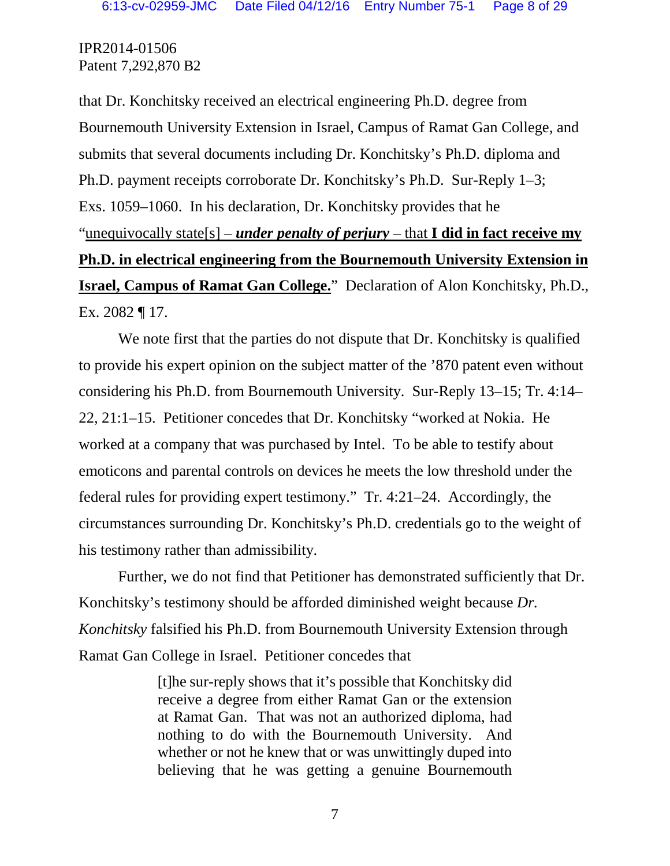that Dr. Konchitsky received an electrical engineering Ph.D. degree from Bournemouth University Extension in Israel, Campus of Ramat Gan College, and submits that several documents including Dr. Konchitsky's Ph.D. diploma and Ph.D. payment receipts corroborate Dr. Konchitsky's Ph.D. Sur-Reply 1–3; Exs. 1059–1060. In his declaration, Dr. Konchitsky provides that he "unequivocally state[s] – *under penalty of perjury* – that **I did in fact receive my Ph.D. in electrical engineering from the Bournemouth University Extension in Israel, Campus of Ramat Gan College.**" Declaration of Alon Konchitsky, Ph.D., Ex. 2082 ¶ 17.

We note first that the parties do not dispute that Dr. Konchitsky is qualified to provide his expert opinion on the subject matter of the '870 patent even without considering his Ph.D. from Bournemouth University. Sur-Reply 13–15; Tr. 4:14– 22, 21:1–15. Petitioner concedes that Dr. Konchitsky "worked at Nokia. He worked at a company that was purchased by Intel. To be able to testify about emoticons and parental controls on devices he meets the low threshold under the federal rules for providing expert testimony." Tr. 4:21–24. Accordingly, the circumstances surrounding Dr. Konchitsky's Ph.D. credentials go to the weight of his testimony rather than admissibility.

Further, we do not find that Petitioner has demonstrated sufficiently that Dr. Konchitsky's testimony should be afforded diminished weight because *Dr. Konchitsky* falsified his Ph.D. from Bournemouth University Extension through Ramat Gan College in Israel. Petitioner concedes that

> [t]he sur-reply shows that it's possible that Konchitsky did receive a degree from either Ramat Gan or the extension at Ramat Gan. That was not an authorized diploma, had nothing to do with the Bournemouth University. And whether or not he knew that or was unwittingly duped into believing that he was getting a genuine Bournemouth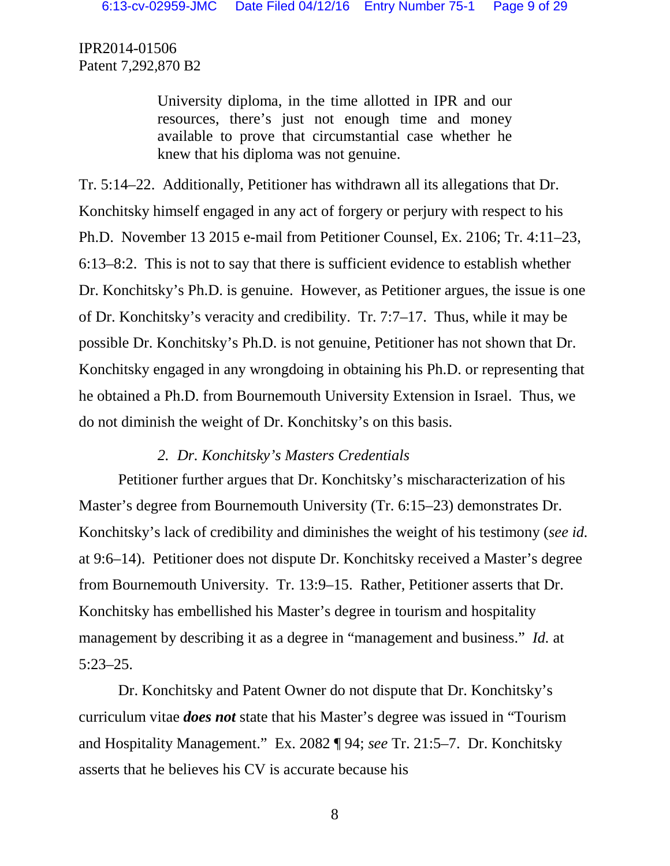> University diploma, in the time allotted in IPR and our resources, there's just not enough time and money available to prove that circumstantial case whether he knew that his diploma was not genuine.

Tr. 5:14–22. Additionally, Petitioner has withdrawn all its allegations that Dr. Konchitsky himself engaged in any act of forgery or perjury with respect to his Ph.D. November 13 2015 e-mail from Petitioner Counsel, Ex. 2106; Tr. 4:11–23, 6:13–8:2. This is not to say that there is sufficient evidence to establish whether Dr. Konchitsky's Ph.D. is genuine. However, as Petitioner argues, the issue is one of Dr. Konchitsky's veracity and credibility. Tr. 7:7–17. Thus, while it may be possible Dr. Konchitsky's Ph.D. is not genuine, Petitioner has not shown that Dr. Konchitsky engaged in any wrongdoing in obtaining his Ph.D. or representing that he obtained a Ph.D. from Bournemouth University Extension in Israel. Thus, we do not diminish the weight of Dr. Konchitsky's on this basis.

## *2. Dr. Konchitsky's Masters Credentials*

Petitioner further argues that Dr. Konchitsky's mischaracterization of his Master's degree from Bournemouth University (Tr. 6:15–23) demonstrates Dr. Konchitsky's lack of credibility and diminishes the weight of his testimony (*see id.* at 9:6–14). Petitioner does not dispute Dr. Konchitsky received a Master's degree from Bournemouth University. Tr. 13:9–15. Rather, Petitioner asserts that Dr. Konchitsky has embellished his Master's degree in tourism and hospitality management by describing it as a degree in "management and business." *Id.* at 5:23–25.

Dr. Konchitsky and Patent Owner do not dispute that Dr. Konchitsky's curriculum vitae *does not* state that his Master's degree was issued in "Tourism and Hospitality Management." Ex. 2082 ¶ 94; *see* Tr. 21:5–7. Dr. Konchitsky asserts that he believes his CV is accurate because his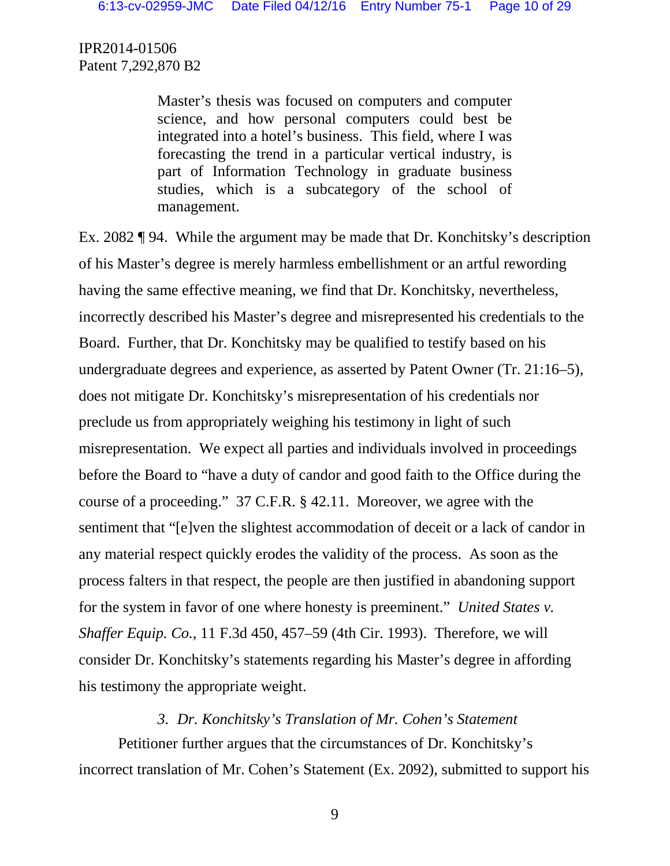> Master's thesis was focused on computers and computer science, and how personal computers could best be integrated into a hotel's business. This field, where I was forecasting the trend in a particular vertical industry, is part of Information Technology in graduate business studies, which is a subcategory of the school of management.

Ex. 2082 ¶ 94. While the argument may be made that Dr. Konchitsky's description of his Master's degree is merely harmless embellishment or an artful rewording having the same effective meaning, we find that Dr. Konchitsky, nevertheless, incorrectly described his Master's degree and misrepresented his credentials to the Board. Further, that Dr. Konchitsky may be qualified to testify based on his undergraduate degrees and experience, as asserted by Patent Owner (Tr. 21:16–5), does not mitigate Dr. Konchitsky's misrepresentation of his credentials nor preclude us from appropriately weighing his testimony in light of such misrepresentation. We expect all parties and individuals involved in proceedings before the Board to "have a duty of candor and good faith to the Office during the course of a proceeding." 37 C.F.R. § 42.11. Moreover, we agree with the sentiment that "[e]ven the slightest accommodation of deceit or a lack of candor in any material respect quickly erodes the validity of the process. As soon as the process falters in that respect, the people are then justified in abandoning support for the system in favor of one where honesty is preeminent." *United States v. Shaffer Equip. Co.*, 11 F.3d 450, 457–59 (4th Cir. 1993). Therefore, we will consider Dr. Konchitsky's statements regarding his Master's degree in affording his testimony the appropriate weight.

## *3. Dr. Konchitsky's Translation of Mr. Cohen's Statement*

Petitioner further argues that the circumstances of Dr. Konchitsky's incorrect translation of Mr. Cohen's Statement (Ex. 2092), submitted to support his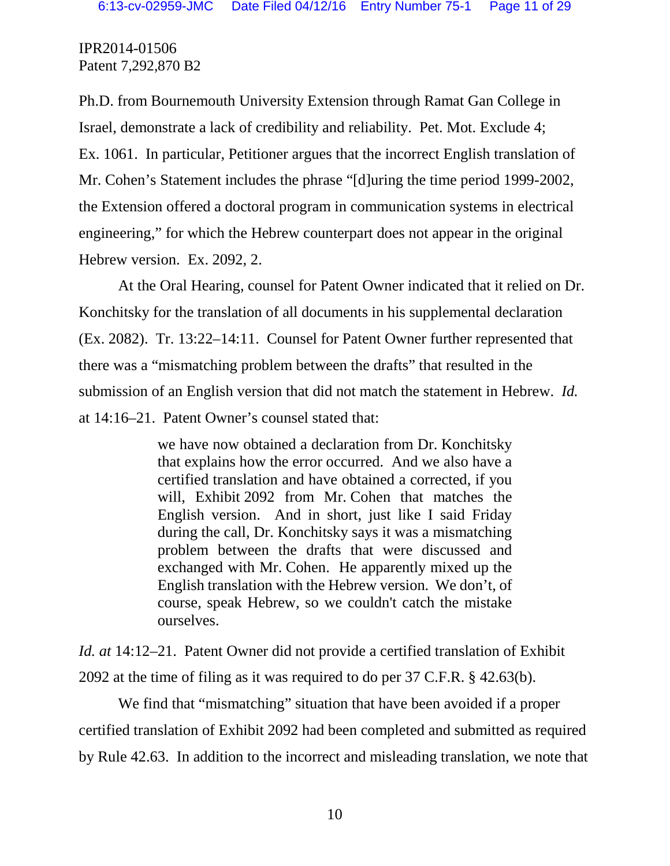Ph.D. from Bournemouth University Extension through Ramat Gan College in Israel, demonstrate a lack of credibility and reliability. Pet. Mot. Exclude 4; Ex. 1061. In particular, Petitioner argues that the incorrect English translation of Mr. Cohen's Statement includes the phrase "[d]uring the time period 1999-2002, the Extension offered a doctoral program in communication systems in electrical engineering," for which the Hebrew counterpart does not appear in the original Hebrew version. Ex. 2092, 2.

At the Oral Hearing, counsel for Patent Owner indicated that it relied on Dr. Konchitsky for the translation of all documents in his supplemental declaration (Ex. 2082). Tr. 13:22–14:11. Counsel for Patent Owner further represented that there was a "mismatching problem between the drafts" that resulted in the submission of an English version that did not match the statement in Hebrew. *Id.* at 14:16–21. Patent Owner's counsel stated that:

> we have now obtained a declaration from Dr. Konchitsky that explains how the error occurred. And we also have a certified translation and have obtained a corrected, if you will, Exhibit 2092 from Mr. Cohen that matches the English version. And in short, just like I said Friday during the call, Dr. Konchitsky says it was a mismatching problem between the drafts that were discussed and exchanged with Mr. Cohen. He apparently mixed up the English translation with the Hebrew version. We don't, of course, speak Hebrew, so we couldn't catch the mistake ourselves.

*Id. at* 14:12–21. Patent Owner did not provide a certified translation of Exhibit 2092 at the time of filing as it was required to do per 37 C.F.R. § 42.63(b).

We find that "mismatching" situation that have been avoided if a proper certified translation of Exhibit 2092 had been completed and submitted as required by Rule 42.63. In addition to the incorrect and misleading translation, we note that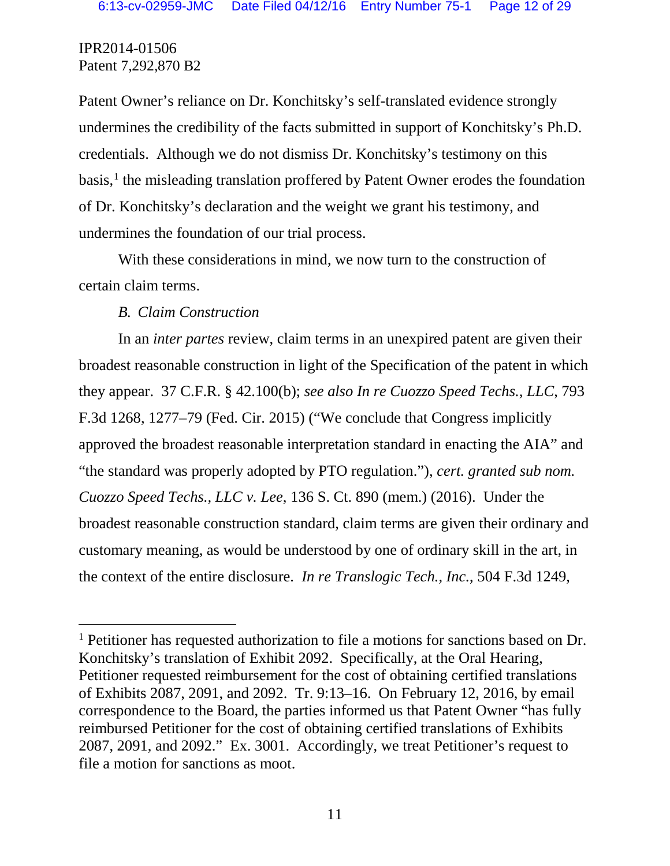Patent Owner's reliance on Dr. Konchitsky's self-translated evidence strongly undermines the credibility of the facts submitted in support of Konchitsky's Ph.D. credentials. Although we do not dismiss Dr. Konchitsky's testimony on this basis, [1](#page-10-0) the misleading translation proffered by Patent Owner erodes the foundation of Dr. Konchitsky's declaration and the weight we grant his testimony, and undermines the foundation of our trial process.

With these considerations in mind, we now turn to the construction of certain claim terms.

# *B. Claim Construction*

In an *inter partes* review, claim terms in an unexpired patent are given their broadest reasonable construction in light of the Specification of the patent in which they appear. 37 C.F.R. § 42.100(b); *see also In re Cuozzo Speed Techs., LLC*, 793 F.3d 1268, 1277–79 (Fed. Cir. 2015) ("We conclude that Congress implicitly approved the broadest reasonable interpretation standard in enacting the AIA" and "the standard was properly adopted by PTO regulation."), *cert. granted sub nom. Cuozzo Speed Techs., LLC v. Lee*, 136 S. Ct. 890 (mem.) (2016). Under the broadest reasonable construction standard, claim terms are given their ordinary and customary meaning, as would be understood by one of ordinary skill in the art, in the context of the entire disclosure. *In re Translogic Tech., Inc.*, 504 F.3d 1249,

<span id="page-10-0"></span><sup>&</sup>lt;sup>1</sup> Petitioner has requested authorization to file a motions for sanctions based on Dr. Konchitsky's translation of Exhibit 2092. Specifically, at the Oral Hearing, Petitioner requested reimbursement for the cost of obtaining certified translations of Exhibits 2087, 2091, and 2092. Tr. 9:13–16. On February 12, 2016, by email correspondence to the Board, the parties informed us that Patent Owner "has fully reimbursed Petitioner for the cost of obtaining certified translations of Exhibits 2087, 2091, and 2092." Ex. 3001. Accordingly, we treat Petitioner's request to file a motion for sanctions as moot.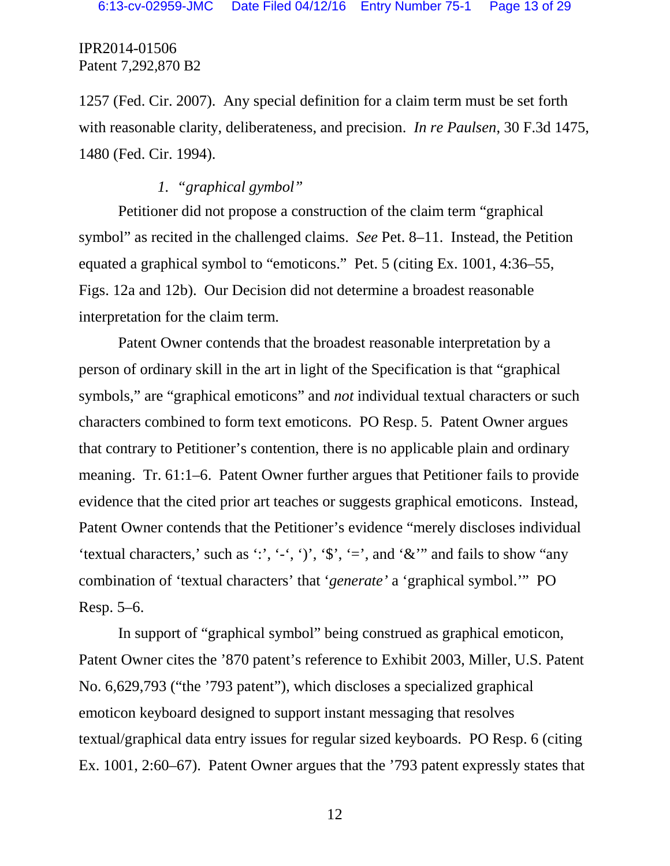1257 (Fed. Cir. 2007). Any special definition for a claim term must be set forth with reasonable clarity, deliberateness, and precision. *In re Paulsen*, 30 F.3d 1475, 1480 (Fed. Cir. 1994).

# *1. "graphical gymbol"*

Petitioner did not propose a construction of the claim term "graphical symbol" as recited in the challenged claims. *See* Pet. 8–11. Instead, the Petition equated a graphical symbol to "emoticons." Pet. 5 (citing Ex. 1001, 4:36–55, Figs. 12a and 12b). Our Decision did not determine a broadest reasonable interpretation for the claim term.

Patent Owner contends that the broadest reasonable interpretation by a person of ordinary skill in the art in light of the Specification is that "graphical symbols," are "graphical emoticons" and *not* individual textual characters or such characters combined to form text emoticons. PO Resp. 5. Patent Owner argues that contrary to Petitioner's contention, there is no applicable plain and ordinary meaning. Tr. 61:1–6. Patent Owner further argues that Petitioner fails to provide evidence that the cited prior art teaches or suggests graphical emoticons. Instead, Patent Owner contends that the Petitioner's evidence "merely discloses individual 'textual characters,' such as ':', '-', ')', ' $\hat{\mathbf{s}}'$ , '=', and ' $\hat{\mathbf{\alpha}}''$  and fails to show "any combination of 'textual characters' that '*generate'* a 'graphical symbol.'" PO Resp. 5–6.

In support of "graphical symbol" being construed as graphical emoticon, Patent Owner cites the '870 patent's reference to Exhibit 2003, Miller, U.S. Patent No. 6,629,793 ("the '793 patent"), which discloses a specialized graphical emoticon keyboard designed to support instant messaging that resolves textual/graphical data entry issues for regular sized keyboards. PO Resp. 6 (citing Ex. 1001, 2:60–67). Patent Owner argues that the '793 patent expressly states that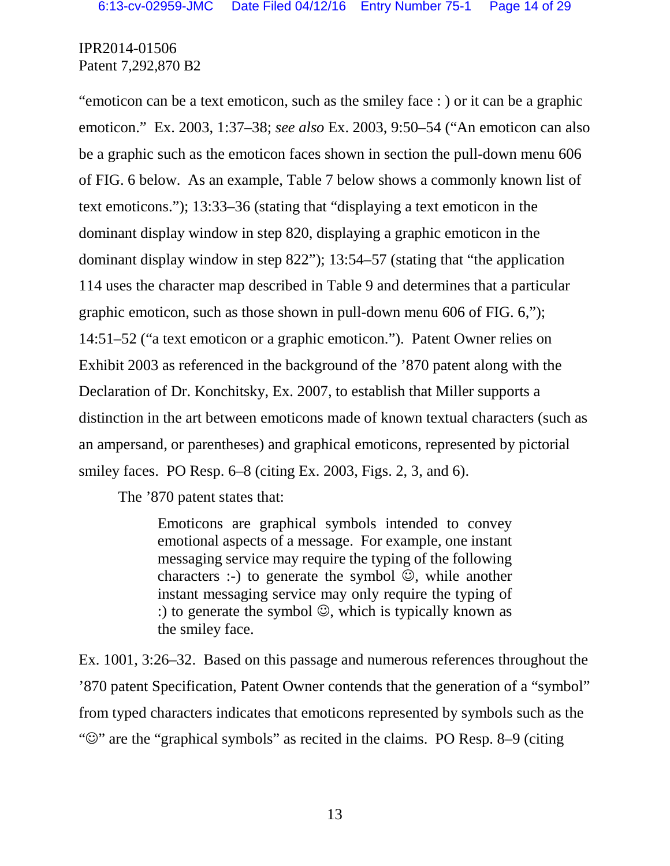"emoticon can be a text emoticon, such as the smiley face : ) or it can be a graphic emoticon." Ex. 2003, 1:37–38; *see also* Ex. 2003, 9:50–54 ("An emoticon can also be a graphic such as the emoticon faces shown in section the pull-down menu 606 of FIG. 6 below. As an example, Table 7 below shows a commonly known list of text emoticons."); 13:33–36 (stating that "displaying a text emoticon in the dominant display window in step 820, displaying a graphic emoticon in the dominant display window in step 822"); 13:54–57 (stating that "the application 114 uses the character map described in Table 9 and determines that a particular graphic emoticon, such as those shown in pull-down menu 606 of FIG. 6,"); 14:51–52 ("a text emoticon or a graphic emoticon."). Patent Owner relies on Exhibit 2003 as referenced in the background of the '870 patent along with the Declaration of Dr. Konchitsky, Ex. 2007, to establish that Miller supports a distinction in the art between emoticons made of known textual characters (such as an ampersand, or parentheses) and graphical emoticons, represented by pictorial smiley faces. PO Resp. 6–8 (citing Ex. 2003, Figs. 2, 3, and 6).

The '870 patent states that:

Emoticons are graphical symbols intended to convey emotional aspects of a message. For example, one instant messaging service may require the typing of the following characters :-) to generate the symbol  $\mathcal{O}$ , while another instant messaging service may only require the typing of :) to generate the symbol  $\mathcal{O}$ , which is typically known as the smiley face.

Ex. 1001, 3:26–32. Based on this passage and numerous references throughout the '870 patent Specification, Patent Owner contends that the generation of a "symbol" from typed characters indicates that emoticons represented by symbols such as the " $\mathbb{Q}$ " are the "graphical symbols" as recited in the claims. PO Resp. 8–9 (citing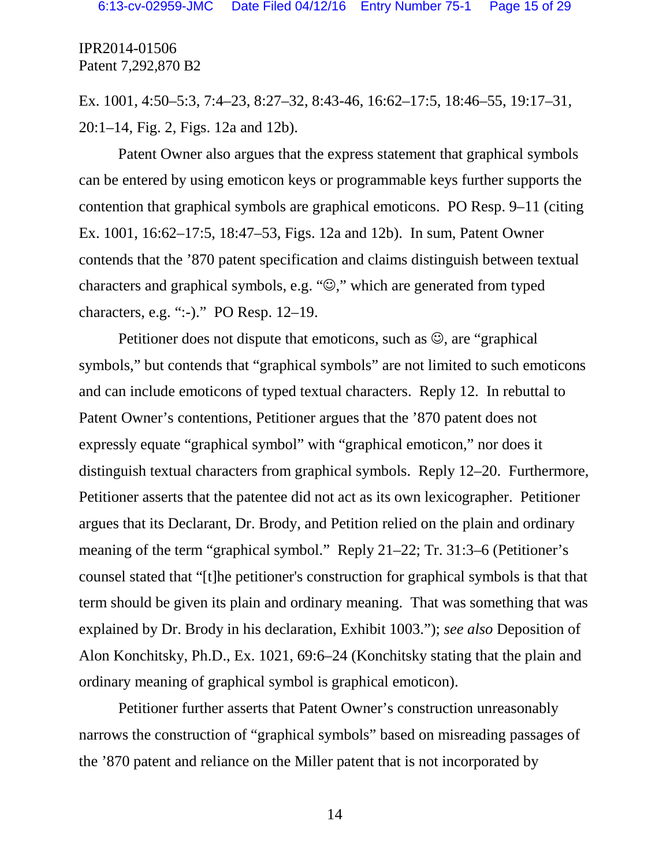Ex. 1001, 4:50–5:3, 7:4–23, 8:27–32, 8:43-46, 16:62–17:5, 18:46–55, 19:17–31, 20:1–14, Fig. 2, Figs. 12a and 12b).

Patent Owner also argues that the express statement that graphical symbols can be entered by using emoticon keys or programmable keys further supports the contention that graphical symbols are graphical emoticons. PO Resp. 9–11 (citing Ex. 1001, 16:62–17:5, 18:47–53, Figs. 12a and 12b). In sum, Patent Owner contends that the '870 patent specification and claims distinguish between textual characters and graphical symbols, e.g. " $\odot$ ," which are generated from typed characters, e.g. ":-)." PO Resp. 12–19.

Petitioner does not dispute that emoticons, such as  $\mathcal{O}$ , are "graphical" symbols," but contends that "graphical symbols" are not limited to such emoticons and can include emoticons of typed textual characters. Reply 12. In rebuttal to Patent Owner's contentions, Petitioner argues that the '870 patent does not expressly equate "graphical symbol" with "graphical emoticon," nor does it distinguish textual characters from graphical symbols. Reply 12–20. Furthermore, Petitioner asserts that the patentee did not act as its own lexicographer. Petitioner argues that its Declarant, Dr. Brody, and Petition relied on the plain and ordinary meaning of the term "graphical symbol." Reply 21–22; Tr. 31:3–6 (Petitioner's counsel stated that "[t]he petitioner's construction for graphical symbols is that that term should be given its plain and ordinary meaning. That was something that was explained by Dr. Brody in his declaration, Exhibit 1003."); *see also* Deposition of Alon Konchitsky, Ph.D., Ex. 1021, 69:6–24 (Konchitsky stating that the plain and ordinary meaning of graphical symbol is graphical emoticon).

Petitioner further asserts that Patent Owner's construction unreasonably narrows the construction of "graphical symbols" based on misreading passages of the '870 patent and reliance on the Miller patent that is not incorporated by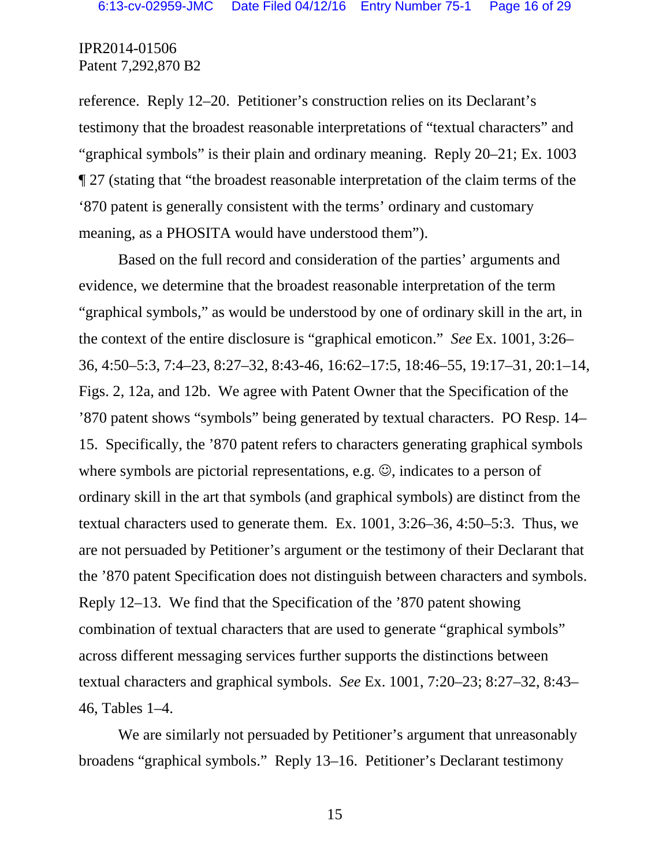reference. Reply 12–20. Petitioner's construction relies on its Declarant's testimony that the broadest reasonable interpretations of "textual characters" and "graphical symbols" is their plain and ordinary meaning. Reply 20–21; Ex. 1003 ¶ 27 (stating that "the broadest reasonable interpretation of the claim terms of the '870 patent is generally consistent with the terms' ordinary and customary meaning, as a PHOSITA would have understood them").

Based on the full record and consideration of the parties' arguments and evidence, we determine that the broadest reasonable interpretation of the term "graphical symbols," as would be understood by one of ordinary skill in the art, in the context of the entire disclosure is "graphical emoticon." *See* Ex. 1001, 3:26– 36, 4:50–5:3, 7:4–23, 8:27–32, 8:43-46, 16:62–17:5, 18:46–55, 19:17–31, 20:1–14, Figs. 2, 12a, and 12b. We agree with Patent Owner that the Specification of the '870 patent shows "symbols" being generated by textual characters. PO Resp. 14– 15. Specifically, the '870 patent refers to characters generating graphical symbols where symbols are pictorial representations, e.g.  $\odot$ , indicates to a person of ordinary skill in the art that symbols (and graphical symbols) are distinct from the textual characters used to generate them. Ex. 1001, 3:26–36, 4:50–5:3. Thus, we are not persuaded by Petitioner's argument or the testimony of their Declarant that the '870 patent Specification does not distinguish between characters and symbols. Reply 12–13. We find that the Specification of the '870 patent showing combination of textual characters that are used to generate "graphical symbols" across different messaging services further supports the distinctions between textual characters and graphical symbols. *See* Ex. 1001, 7:20–23; 8:27–32, 8:43– 46, Tables 1–4.

We are similarly not persuaded by Petitioner's argument that unreasonably broadens "graphical symbols." Reply 13–16. Petitioner's Declarant testimony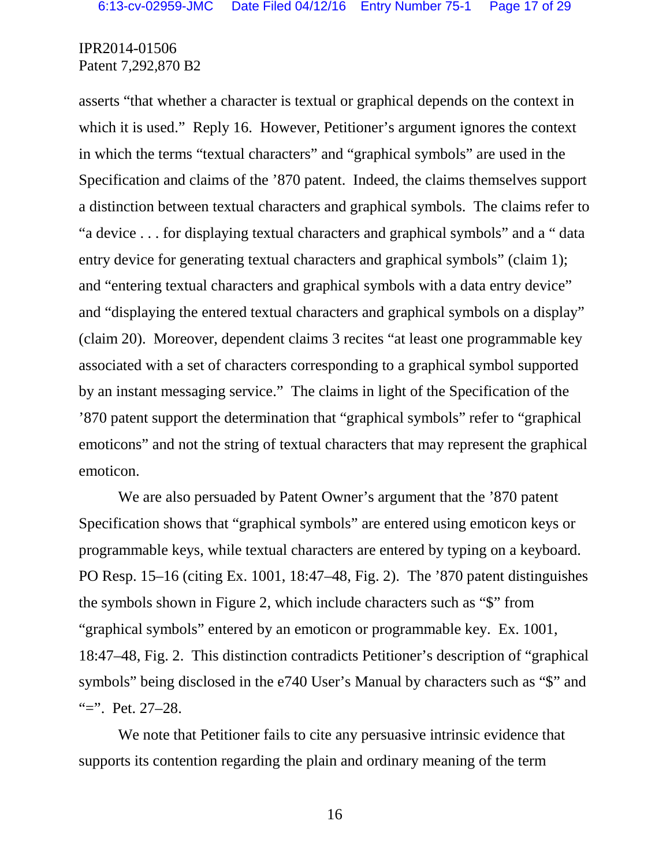asserts "that whether a character is textual or graphical depends on the context in which it is used." Reply 16. However, Petitioner's argument ignores the context in which the terms "textual characters" and "graphical symbols" are used in the Specification and claims of the '870 patent. Indeed, the claims themselves support a distinction between textual characters and graphical symbols. The claims refer to "a device . . . for displaying textual characters and graphical symbols" and a " data entry device for generating textual characters and graphical symbols" (claim 1); and "entering textual characters and graphical symbols with a data entry device" and "displaying the entered textual characters and graphical symbols on a display" (claim 20). Moreover, dependent claims 3 recites "at least one programmable key associated with a set of characters corresponding to a graphical symbol supported by an instant messaging service." The claims in light of the Specification of the '870 patent support the determination that "graphical symbols" refer to "graphical emoticons" and not the string of textual characters that may represent the graphical emoticon.

We are also persuaded by Patent Owner's argument that the '870 patent Specification shows that "graphical symbols" are entered using emoticon keys or programmable keys, while textual characters are entered by typing on a keyboard. PO Resp. 15–16 (citing Ex. 1001, 18:47–48, Fig. 2). The '870 patent distinguishes the symbols shown in Figure 2, which include characters such as "\$" from "graphical symbols" entered by an emoticon or programmable key. Ex. 1001, 18:47–48, Fig. 2. This distinction contradicts Petitioner's description of "graphical symbols" being disclosed in the e740 User's Manual by characters such as "\$" and "=". Pet. 27–28.

We note that Petitioner fails to cite any persuasive intrinsic evidence that supports its contention regarding the plain and ordinary meaning of the term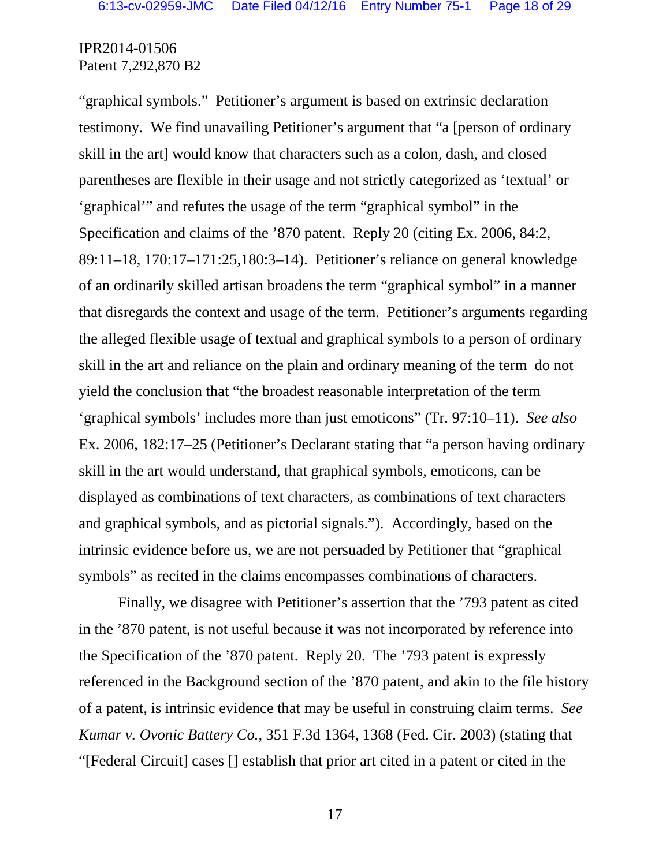"graphical symbols." Petitioner's argument is based on extrinsic declaration testimony. We find unavailing Petitioner's argument that "a [person of ordinary skill in the art] would know that characters such as a colon, dash, and closed parentheses are flexible in their usage and not strictly categorized as 'textual' or 'graphical'" and refutes the usage of the term "graphical symbol" in the Specification and claims of the '870 patent. Reply 20 (citing Ex. 2006, 84:2, 89:11–18, 170:17–171:25,180:3–14). Petitioner's reliance on general knowledge of an ordinarily skilled artisan broadens the term "graphical symbol" in a manner that disregards the context and usage of the term. Petitioner's arguments regarding the alleged flexible usage of textual and graphical symbols to a person of ordinary skill in the art and reliance on the plain and ordinary meaning of the term do not yield the conclusion that "the broadest reasonable interpretation of the term 'graphical symbols' includes more than just emoticons" (Tr. 97:10–11). *See also*  Ex. 2006, 182:17–25 (Petitioner's Declarant stating that "a person having ordinary skill in the art would understand, that graphical symbols, emoticons, can be displayed as combinations of text characters, as combinations of text characters and graphical symbols, and as pictorial signals."). Accordingly, based on the intrinsic evidence before us, we are not persuaded by Petitioner that "graphical symbols" as recited in the claims encompasses combinations of characters.

Finally, we disagree with Petitioner's assertion that the '793 patent as cited in the '870 patent, is not useful because it was not incorporated by reference into the Specification of the '870 patent. Reply 20. The '793 patent is expressly referenced in the Background section of the '870 patent, and akin to the file history of a patent, is intrinsic evidence that may be useful in construing claim terms. *See Kumar v. Ovonic Battery Co.,* 351 F.3d 1364, 1368 (Fed. Cir. 2003) (stating that "[Federal Circuit] cases [] establish that prior art cited in a patent or cited in the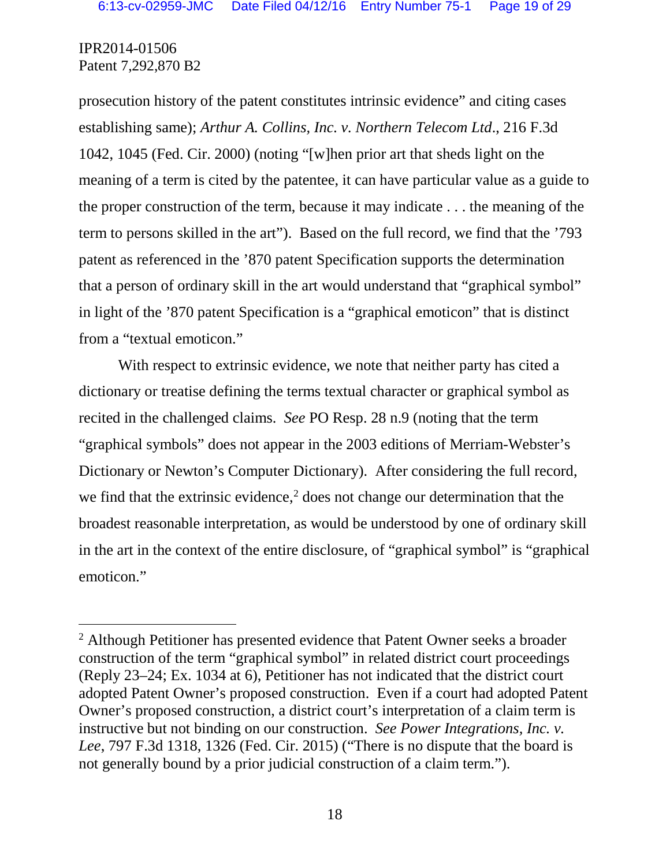prosecution history of the patent constitutes intrinsic evidence" and citing cases establishing same); *Arthur A. Collins, Inc. v. Northern Telecom Ltd*., 216 F.3d 1042, 1045 (Fed. Cir. 2000) (noting "[w]hen prior art that sheds light on the meaning of a term is cited by the patentee, it can have particular value as a guide to the proper construction of the term, because it may indicate . . . the meaning of the term to persons skilled in the art"). Based on the full record, we find that the '793 patent as referenced in the '870 patent Specification supports the determination that a person of ordinary skill in the art would understand that "graphical symbol" in light of the '870 patent Specification is a "graphical emoticon" that is distinct from a "textual emoticon."

With respect to extrinsic evidence, we note that neither party has cited a dictionary or treatise defining the terms textual character or graphical symbol as recited in the challenged claims. *See* PO Resp. 28 n.9 (noting that the term "graphical symbols" does not appear in the 2003 editions of Merriam-Webster's Dictionary or Newton's Computer Dictionary). After considering the full record, we find that the extrinsic evidence, $\frac{2}{3}$  does not change our determination that the broadest reasonable interpretation, as would be understood by one of ordinary skill in the art in the context of the entire disclosure, of "graphical symbol" is "graphical emoticon."

<span id="page-17-0"></span> <sup>2</sup> Although Petitioner has presented evidence that Patent Owner seeks a broader construction of the term "graphical symbol" in related district court proceedings (Reply 23–24; Ex. 1034 at 6), Petitioner has not indicated that the district court adopted Patent Owner's proposed construction. Even if a court had adopted Patent Owner's proposed construction, a district court's interpretation of a claim term is instructive but not binding on our construction. *See Power Integrations, Inc. v. Lee*, 797 F.3d 1318, 1326 (Fed. Cir. 2015) ("There is no dispute that the board is not generally bound by a prior judicial construction of a claim term.").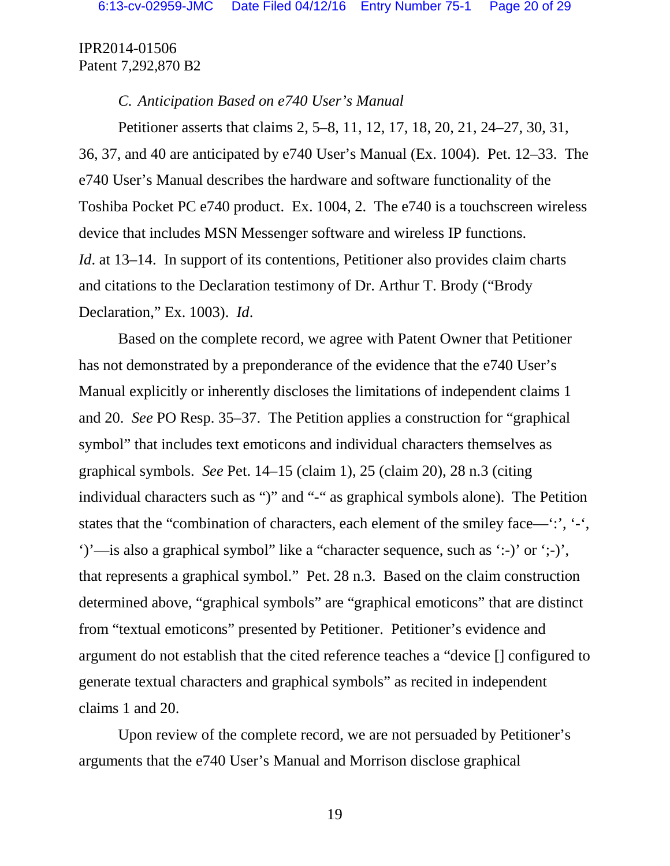#### *C. Anticipation Based on e740 User's Manual*

Petitioner asserts that claims 2, 5–8, 11, 12, 17, 18, 20, 21, 24–27, 30, 31, 36, 37, and 40 are anticipated by e740 User's Manual (Ex. 1004). Pet. 12–33. The e740 User's Manual describes the hardware and software functionality of the Toshiba Pocket PC e740 product. Ex. 1004, 2. The e740 is a touchscreen wireless device that includes MSN Messenger software and wireless IP functions. *Id.* at 13–14. In support of its contentions, Petitioner also provides claim charts and citations to the Declaration testimony of Dr. Arthur T. Brody ("Brody Declaration," Ex. 1003). *Id*.

Based on the complete record, we agree with Patent Owner that Petitioner has not demonstrated by a preponderance of the evidence that the e740 User's Manual explicitly or inherently discloses the limitations of independent claims 1 and 20. *See* PO Resp. 35–37. The Petition applies a construction for "graphical symbol" that includes text emoticons and individual characters themselves as graphical symbols. *See* Pet. 14–15 (claim 1), 25 (claim 20), 28 n.3 (citing individual characters such as ")" and "-" as graphical symbols alone). The Petition states that the "combination of characters, each element of the smiley face—':', '-', ')'—is also a graphical symbol" like a "character sequence, such as ':-)' or ';-)', that represents a graphical symbol." Pet. 28 n.3. Based on the claim construction determined above, "graphical symbols" are "graphical emoticons" that are distinct from "textual emoticons" presented by Petitioner. Petitioner's evidence and argument do not establish that the cited reference teaches a "device [] configured to generate textual characters and graphical symbols" as recited in independent claims 1 and 20.

Upon review of the complete record, we are not persuaded by Petitioner's arguments that the e740 User's Manual and Morrison disclose graphical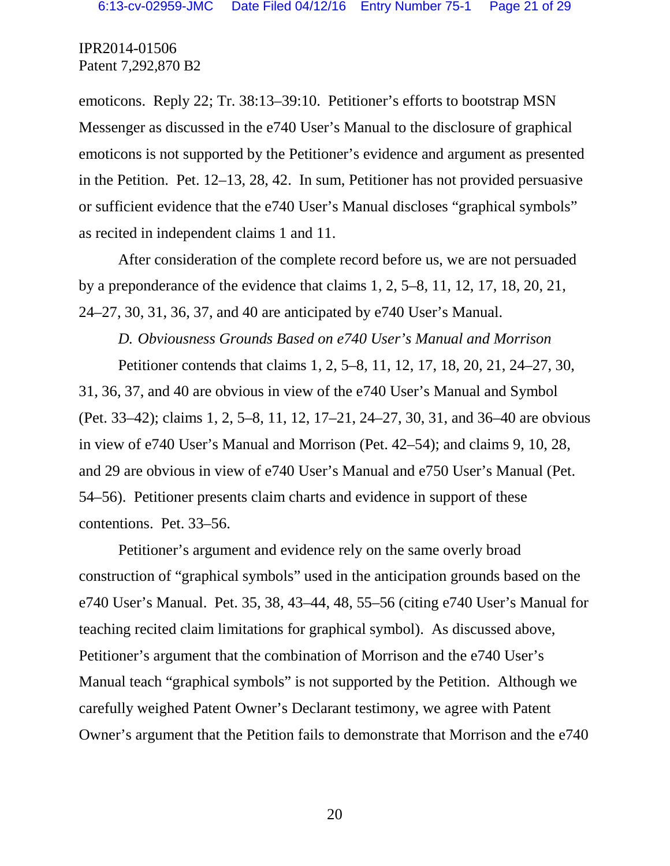emoticons. Reply 22; Tr. 38:13–39:10. Petitioner's efforts to bootstrap MSN Messenger as discussed in the e740 User's Manual to the disclosure of graphical emoticons is not supported by the Petitioner's evidence and argument as presented in the Petition. Pet. 12–13, 28, 42. In sum, Petitioner has not provided persuasive or sufficient evidence that the e740 User's Manual discloses "graphical symbols" as recited in independent claims 1 and 11.

After consideration of the complete record before us, we are not persuaded by a preponderance of the evidence that claims 1, 2, 5–8, 11, 12, 17, 18, 20, 21, 24–27, 30, 31, 36, 37, and 40 are anticipated by e740 User's Manual.

*D. Obviousness Grounds Based on e740 User's Manual and Morrison*

Petitioner contends that claims 1, 2, 5–8, 11, 12, 17, 18, 20, 21, 24–27, 30, 31, 36, 37, and 40 are obvious in view of the e740 User's Manual and Symbol (Pet. 33–42); claims 1, 2, 5–8, 11, 12, 17–21, 24–27, 30, 31, and 36–40 are obvious in view of e740 User's Manual and Morrison (Pet. 42–54); and claims 9, 10, 28, and 29 are obvious in view of e740 User's Manual and e750 User's Manual (Pet. 54–56). Petitioner presents claim charts and evidence in support of these contentions.Pet. 33–56.

Petitioner's argument and evidence rely on the same overly broad construction of "graphical symbols" used in the anticipation grounds based on the e740 User's Manual. Pet. 35, 38, 43–44, 48, 55–56 (citing e740 User's Manual for teaching recited claim limitations for graphical symbol). As discussed above, Petitioner's argument that the combination of Morrison and the e740 User's Manual teach "graphical symbols" is not supported by the Petition. Although we carefully weighed Patent Owner's Declarant testimony, we agree with Patent Owner's argument that the Petition fails to demonstrate that Morrison and the e740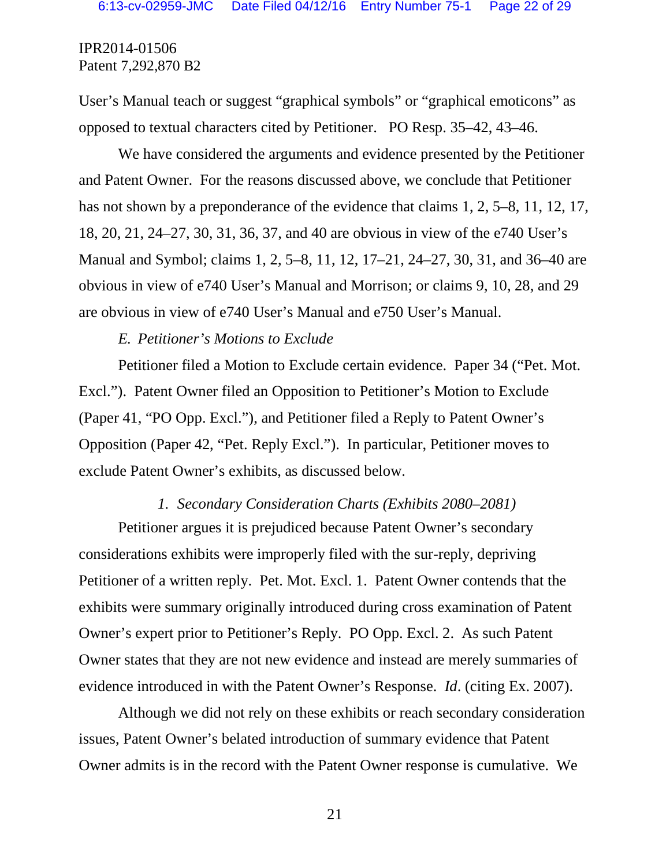User's Manual teach or suggest "graphical symbols" or "graphical emoticons" as opposed to textual characters cited by Petitioner. PO Resp. 35–42, 43–46.

We have considered the arguments and evidence presented by the Petitioner and Patent Owner. For the reasons discussed above, we conclude that Petitioner has not shown by a preponderance of the evidence that claims 1, 2, 5–8, 11, 12, 17, 18, 20, 21, 24–27, 30, 31, 36, 37, and 40 are obvious in view of the e740 User's Manual and Symbol; claims 1, 2, 5–8, 11, 12, 17–21, 24–27, 30, 31, and 36–40 are obvious in view of e740 User's Manual and Morrison; or claims 9, 10, 28, and 29 are obvious in view of e740 User's Manual and e750 User's Manual.

### *E. Petitioner's Motions to Exclude*

Petitioner filed a Motion to Exclude certain evidence. Paper 34 ("Pet. Mot. Excl."). Patent Owner filed an Opposition to Petitioner's Motion to Exclude (Paper 41, "PO Opp. Excl."), and Petitioner filed a Reply to Patent Owner's Opposition (Paper 42, "Pet. Reply Excl."). In particular, Petitioner moves to exclude Patent Owner's exhibits, as discussed below.

#### *1. Secondary Consideration Charts (Exhibits 2080–2081)*

Petitioner argues it is prejudiced because Patent Owner's secondary considerations exhibits were improperly filed with the sur-reply, depriving Petitioner of a written reply. Pet. Mot. Excl. 1. Patent Owner contends that the exhibits were summary originally introduced during cross examination of Patent Owner's expert prior to Petitioner's Reply. PO Opp. Excl. 2. As such Patent Owner states that they are not new evidence and instead are merely summaries of evidence introduced in with the Patent Owner's Response. *Id*. (citing Ex. 2007).

Although we did not rely on these exhibits or reach secondary consideration issues, Patent Owner's belated introduction of summary evidence that Patent Owner admits is in the record with the Patent Owner response is cumulative. We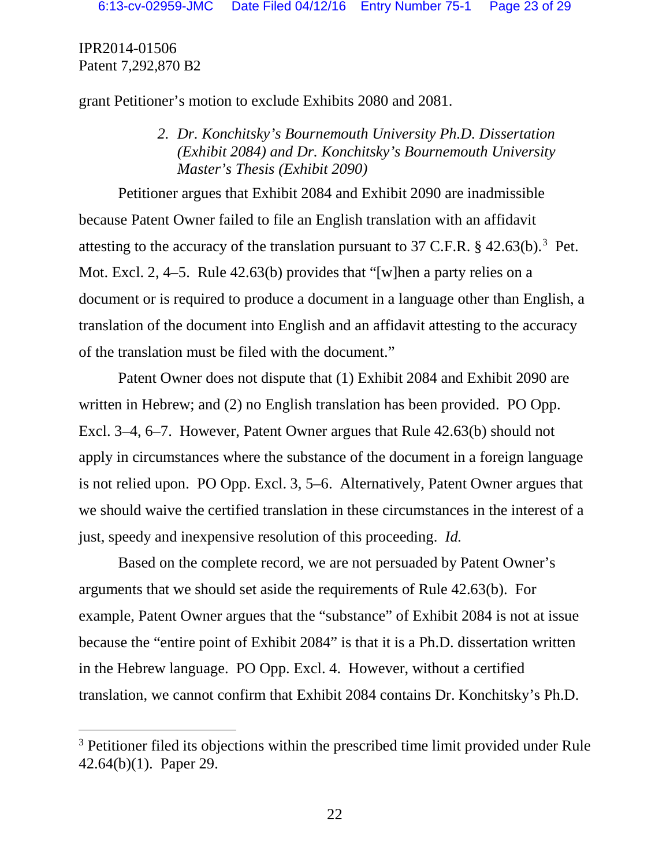grant Petitioner's motion to exclude Exhibits 2080 and 2081.

*2. Dr. Konchitsky's Bournemouth University Ph.D. Dissertation (Exhibit 2084) and Dr. Konchitsky's Bournemouth University Master's Thesis (Exhibit 2090)*

Petitioner argues that Exhibit 2084 and Exhibit 2090 are inadmissible because Patent Owner failed to file an English translation with an affidavit attesting to the accuracy of the translation pursuant to [3](#page-21-0)7 C.F.R.  $\S$  42.63(b).<sup>3</sup> Pet. Mot. Excl. 2, 4–5. Rule 42.63(b) provides that "[w]hen a party relies on a document or is required to produce a document in a language other than English, a translation of the document into English and an affidavit attesting to the accuracy of the translation must be filed with the document."

Patent Owner does not dispute that (1) Exhibit 2084 and Exhibit 2090 are written in Hebrew; and (2) no English translation has been provided. PO Opp. Excl. 3–4, 6–7. However, Patent Owner argues that Rule 42.63(b) should not apply in circumstances where the substance of the document in a foreign language is not relied upon. PO Opp. Excl. 3, 5–6. Alternatively, Patent Owner argues that we should waive the certified translation in these circumstances in the interest of a just, speedy and inexpensive resolution of this proceeding. *Id.*

Based on the complete record, we are not persuaded by Patent Owner's arguments that we should set aside the requirements of Rule 42.63(b). For example, Patent Owner argues that the "substance" of Exhibit 2084 is not at issue because the "entire point of Exhibit 2084" is that it is a Ph.D. dissertation written in the Hebrew language. PO Opp. Excl. 4. However, without a certified translation, we cannot confirm that Exhibit 2084 contains Dr. Konchitsky's Ph.D.

<span id="page-21-0"></span><sup>&</sup>lt;sup>3</sup> Petitioner filed its objections within the prescribed time limit provided under Rule 42.64(b)(1). Paper 29.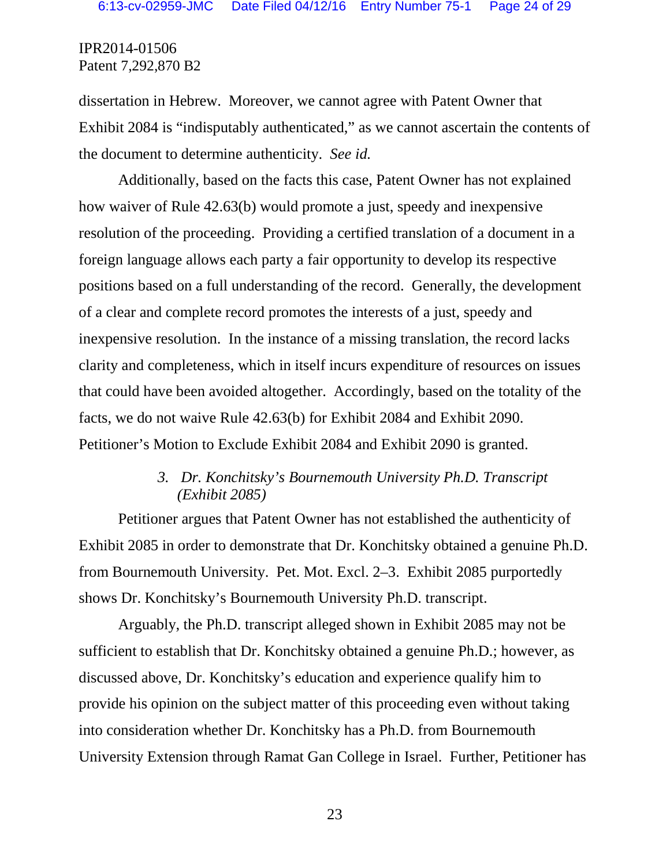dissertation in Hebrew. Moreover, we cannot agree with Patent Owner that Exhibit 2084 is "indisputably authenticated," as we cannot ascertain the contents of the document to determine authenticity. *See id.*

Additionally, based on the facts this case, Patent Owner has not explained how waiver of Rule 42.63(b) would promote a just, speedy and inexpensive resolution of the proceeding. Providing a certified translation of a document in a foreign language allows each party a fair opportunity to develop its respective positions based on a full understanding of the record. Generally, the development of a clear and complete record promotes the interests of a just, speedy and inexpensive resolution. In the instance of a missing translation, the record lacks clarity and completeness, which in itself incurs expenditure of resources on issues that could have been avoided altogether. Accordingly, based on the totality of the facts, we do not waive Rule 42.63(b) for Exhibit 2084 and Exhibit 2090. Petitioner's Motion to Exclude Exhibit 2084 and Exhibit 2090 is granted.

# *3. Dr. Konchitsky's Bournemouth University Ph.D. Transcript (Exhibit 2085)*

Petitioner argues that Patent Owner has not established the authenticity of Exhibit 2085 in order to demonstrate that Dr. Konchitsky obtained a genuine Ph.D. from Bournemouth University. Pet. Mot. Excl. 2–3. Exhibit 2085 purportedly shows Dr. Konchitsky's Bournemouth University Ph.D. transcript.

Arguably, the Ph.D. transcript alleged shown in Exhibit 2085 may not be sufficient to establish that Dr. Konchitsky obtained a genuine Ph.D.; however, as discussed above, Dr. Konchitsky's education and experience qualify him to provide his opinion on the subject matter of this proceeding even without taking into consideration whether Dr. Konchitsky has a Ph.D. from Bournemouth University Extension through Ramat Gan College in Israel. Further, Petitioner has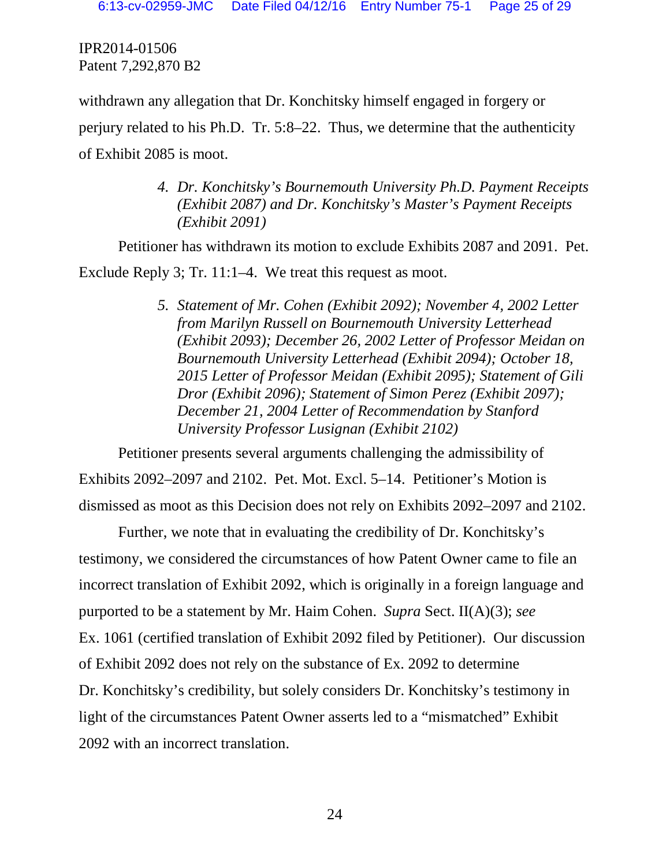withdrawn any allegation that Dr. Konchitsky himself engaged in forgery or perjury related to his Ph.D. Tr. 5:8–22. Thus, we determine that the authenticity of Exhibit 2085 is moot.

> *4. Dr. Konchitsky's Bournemouth University Ph.D. Payment Receipts (Exhibit 2087) and Dr. Konchitsky's Master's Payment Receipts (Exhibit 2091)*

Petitioner has withdrawn its motion to exclude Exhibits 2087 and 2091. Pet. Exclude Reply 3; Tr. 11:1–4. We treat this request as moot.

> *5. Statement of Mr. Cohen (Exhibit 2092); November 4, 2002 Letter from Marilyn Russell on Bournemouth University Letterhead (Exhibit 2093); December 26, 2002 Letter of Professor Meidan on Bournemouth University Letterhead (Exhibit 2094); October 18, 2015 Letter of Professor Meidan (Exhibit 2095); Statement of Gili Dror (Exhibit 2096); Statement of Simon Perez (Exhibit 2097); December 21, 2004 Letter of Recommendation by Stanford University Professor Lusignan (Exhibit 2102)*

Petitioner presents several arguments challenging the admissibility of Exhibits 2092–2097 and 2102. Pet. Mot. Excl. 5–14. Petitioner's Motion is dismissed as moot as this Decision does not rely on Exhibits 2092–2097 and 2102.

Further, we note that in evaluating the credibility of Dr. Konchitsky's testimony, we considered the circumstances of how Patent Owner came to file an incorrect translation of Exhibit 2092, which is originally in a foreign language and purported to be a statement by Mr. Haim Cohen. *Supra* Sect. II(A)(3); *see* Ex. 1061 (certified translation of Exhibit 2092 filed by Petitioner). Our discussion of Exhibit 2092 does not rely on the substance of Ex. 2092 to determine Dr. Konchitsky's credibility, but solely considers Dr. Konchitsky's testimony in light of the circumstances Patent Owner asserts led to a "mismatched" Exhibit 2092 with an incorrect translation.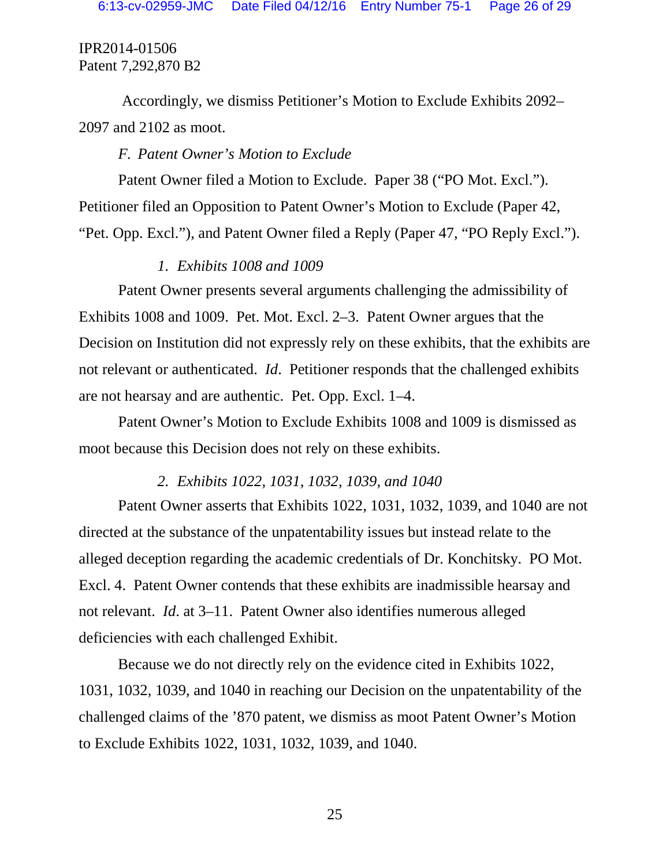Accordingly, we dismiss Petitioner's Motion to Exclude Exhibits 2092– 2097 and 2102 as moot.

#### *F. Patent Owner's Motion to Exclude*

Patent Owner filed a Motion to Exclude. Paper 38 ("PO Mot. Excl."). Petitioner filed an Opposition to Patent Owner's Motion to Exclude (Paper 42, "Pet. Opp. Excl."), and Patent Owner filed a Reply (Paper 47, "PO Reply Excl.").

## *1. Exhibits 1008 and 1009*

Patent Owner presents several arguments challenging the admissibility of Exhibits 1008 and 1009. Pet. Mot. Excl. 2–3. Patent Owner argues that the Decision on Institution did not expressly rely on these exhibits, that the exhibits are not relevant or authenticated. *Id*. Petitioner responds that the challenged exhibits are not hearsay and are authentic. Pet. Opp. Excl. 1–4.

Patent Owner's Motion to Exclude Exhibits 1008 and 1009 is dismissed as moot because this Decision does not rely on these exhibits.

#### *2. Exhibits 1022, 1031, 1032, 1039, and 1040*

Patent Owner asserts that Exhibits 1022, 1031, 1032, 1039, and 1040 are not directed at the substance of the unpatentability issues but instead relate to the alleged deception regarding the academic credentials of Dr. Konchitsky. PO Mot. Excl. 4. Patent Owner contends that these exhibits are inadmissible hearsay and not relevant. *Id*. at 3–11. Patent Owner also identifies numerous alleged deficiencies with each challenged Exhibit.

Because we do not directly rely on the evidence cited in Exhibits 1022, 1031, 1032, 1039, and 1040 in reaching our Decision on the unpatentability of the challenged claims of the '870 patent, we dismiss as moot Patent Owner's Motion to Exclude Exhibits 1022, 1031, 1032, 1039, and 1040.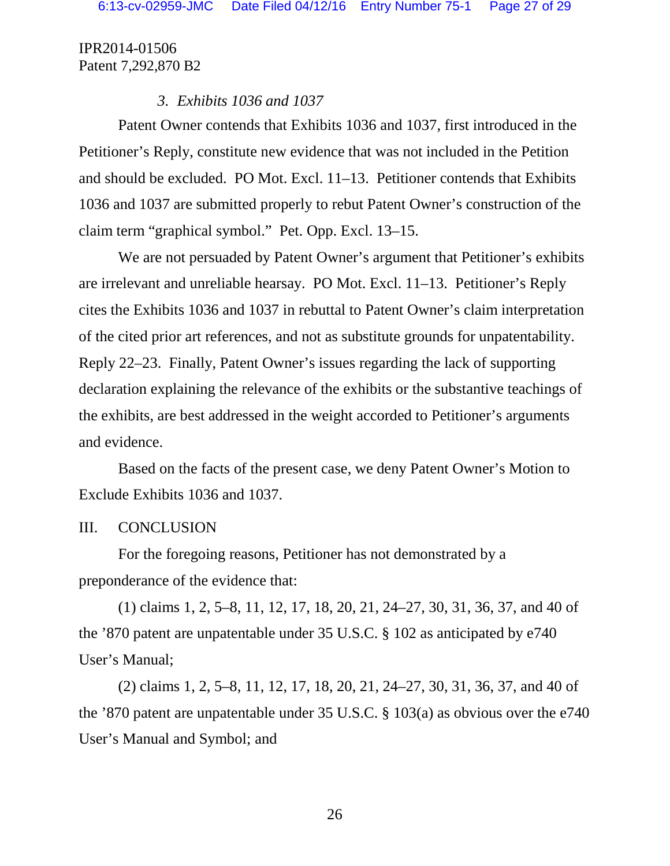## *3. Exhibits 1036 and 1037*

Patent Owner contends that Exhibits 1036 and 1037, first introduced in the Petitioner's Reply, constitute new evidence that was not included in the Petition and should be excluded. PO Mot. Excl. 11–13. Petitioner contends that Exhibits 1036 and 1037 are submitted properly to rebut Patent Owner's construction of the claim term "graphical symbol." Pet. Opp. Excl. 13–15.

We are not persuaded by Patent Owner's argument that Petitioner's exhibits are irrelevant and unreliable hearsay. PO Mot. Excl. 11–13. Petitioner's Reply cites the Exhibits 1036 and 1037 in rebuttal to Patent Owner's claim interpretation of the cited prior art references, and not as substitute grounds for unpatentability. Reply 22–23. Finally, Patent Owner's issues regarding the lack of supporting declaration explaining the relevance of the exhibits or the substantive teachings of the exhibits, are best addressed in the weight accorded to Petitioner's arguments and evidence.

Based on the facts of the present case, we deny Patent Owner's Motion to Exclude Exhibits 1036 and 1037.

### III. CONCLUSION

For the foregoing reasons, Petitioner has not demonstrated by a preponderance of the evidence that:

(1) claims 1, 2, 5–8, 11, 12, 17, 18, 20, 21, 24–27, 30, 31, 36, 37, and 40 of the '870 patent are unpatentable under 35 U.S.C. § 102 as anticipated by e740 User's Manual;

(2) claims 1, 2, 5–8, 11, 12, 17, 18, 20, 21, 24–27, 30, 31, 36, 37, and 40 of the '870 patent are unpatentable under 35 U.S.C. § 103(a) as obvious over the e740 User's Manual and Symbol; and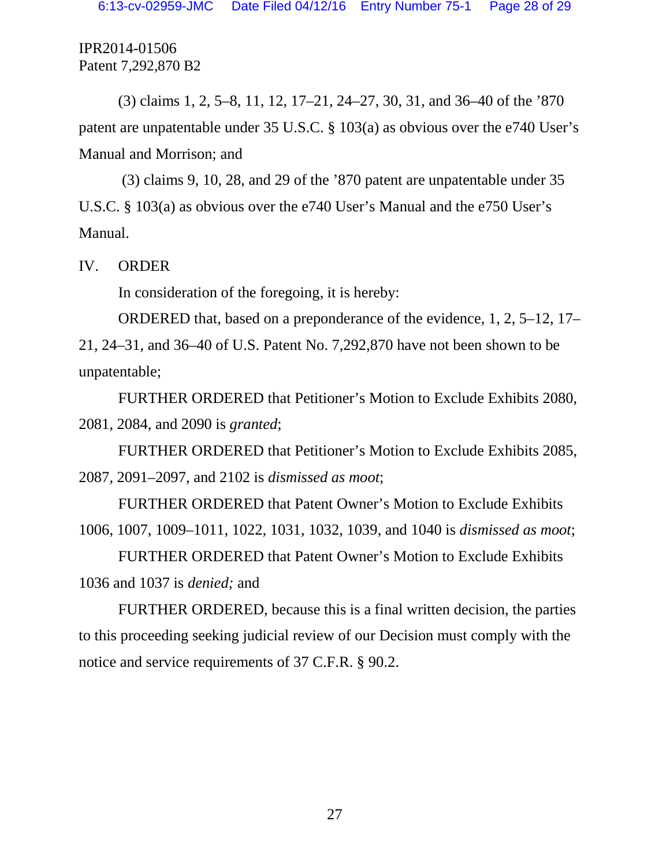(3) claims 1, 2, 5–8, 11, 12, 17–21, 24–27, 30, 31, and 36–40 of the '870 patent are unpatentable under 35 U.S.C. § 103(a) as obvious over the e740 User's Manual and Morrison; and

(3) claims 9, 10, 28, and 29 of the '870 patent are unpatentable under 35 U.S.C. § 103(a) as obvious over the e740 User's Manual and the e750 User's Manual.

IV. ORDER

In consideration of the foregoing, it is hereby:

ORDERED that, based on a preponderance of the evidence, 1, 2, 5–12, 17– 21, 24–31, and 36–40 of U.S. Patent No. 7,292,870 have not been shown to be unpatentable;

FURTHER ORDERED that Petitioner's Motion to Exclude Exhibits 2080, 2081, 2084, and 2090 is *granted*;

FURTHER ORDERED that Petitioner's Motion to Exclude Exhibits 2085, 2087, 2091–2097, and 2102 is *dismissed as moot*;

FURTHER ORDERED that Patent Owner's Motion to Exclude Exhibits 1006, 1007, 1009–1011, 1022, 1031, 1032, 1039, and 1040 is *dismissed as moot*;

FURTHER ORDERED that Patent Owner's Motion to Exclude Exhibits 1036 and 1037 is *denied;* and

FURTHER ORDERED, because this is a final written decision, the parties to this proceeding seeking judicial review of our Decision must comply with the notice and service requirements of 37 C.F.R. § 90.2.